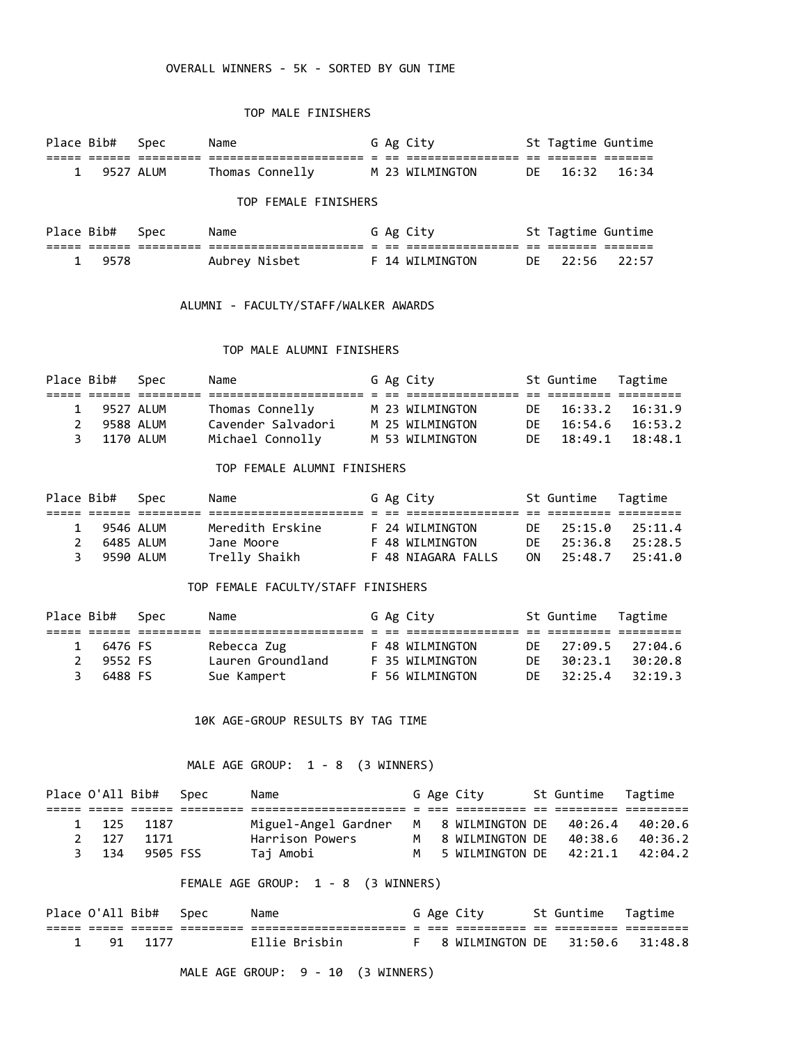## OVERALL WINNERS - 5K - SORTED BY GUN TIME

## TOP MALE FINISHERS

| Place Bib# | Spec      | Name                 |  | G Ag City       |     | St Tagtime Guntime |       |
|------------|-----------|----------------------|--|-----------------|-----|--------------------|-------|
|            |           |                      |  |                 |     |                    |       |
|            | 9527 ALUM | Thomas Connelly      |  | M 23 WILMINGTON | DE. | 16:32              | 16:34 |
|            |           | TOP FEMALE FINISHERS |  |                 |     |                    |       |
| Place Bib# | Spec      | Name                 |  | G Ag City       |     | St Tagtime Guntime |       |
|            |           |                      |  |                 |     |                    |       |
| 9578       |           | Aubrey Nisbet        |  | F 14 WILMINGTON | DE  | 22:56              | 22:57 |

#### ALUMNI - FACULTY/STAFF/WALKER AWARDS

## TOP MALE ALUMNI FINISHERS

| Place Bib#    |             | Spec | Name               |  | G Ag City       | St Guntime Tagtime |         |
|---------------|-------------|------|--------------------|--|-----------------|--------------------|---------|
|               |             |      |                    |  |                 |                    |         |
| 1             | 9527 ALUM   |      | Thomas Connelly    |  | M 23 WILMINGTON | DE 16:33.2 16:31.9 |         |
| $\mathcal{P}$ | 9588 ALUM   |      | Cavender Salvadori |  | M 25 WILMINGTON | DE 16:54.6 16:53.2 |         |
|               | 3 1170 ALUM |      | Michael Connolly   |  | M 53 WILMINGTON | DF 18:49.1         | 18:48.1 |

#### TOP FEMALE ALUMNI FINISHERS

| Place Bib# |             | Spec | Name             |  | G Ag City          |     | St Guntime Tagtime |         |
|------------|-------------|------|------------------|--|--------------------|-----|--------------------|---------|
|            |             |      |                  |  |                    |     |                    |         |
|            | 9546 ALUM   |      | Meredith Erskine |  | F 24 WILMINGTON    |     | DF 25:15.0         | 25:11.4 |
|            | 2 6485 ALUM |      | Jane Moore       |  | F 48 WILMINGTON    | DE. | 25:36.8            | 25:28.5 |
|            | 3 9590 ALUM |      | Trelly Shaikh    |  | F 48 NIAGARA FALLS | 0N. | 25:48.7            | 25:41.0 |

## TOP FEMALE FACULTY/STAFF FINISHERS

| Place Bib# |               | Spec | Name              |  | G Ag City       |     | St Guntime Tagtime |         |
|------------|---------------|------|-------------------|--|-----------------|-----|--------------------|---------|
|            |               |      |                   |  |                 |     |                    |         |
|            | 6476 FS       |      | Rebecca Zug       |  | F 48 WILMINGTON | DF. | 27:09.5            | 27:04.6 |
|            | 9552 FS       |      | Lauren Groundland |  | F 35 WILMINGTON | DF. | 30:23.1            | 30:20.8 |
|            | 6488 FS<br>3. |      | Sue Kampert       |  | F 56 WILMINGTON | DF. | 32:25.4            | 32:19.3 |

#### 10K AGE-GROUP RESULTS BY TAG TIME

# MALE AGE GROUP: 1 - 8 (3 WINNERS)

|       | Place O'All Bib# Spec | Name                 |   | G Age City                | St Guntime Tagtime |         |
|-------|-----------------------|----------------------|---|---------------------------|--------------------|---------|
|       |                       |                      |   |                           |                    |         |
| 1 125 | 1187                  | Miguel-Angel Gardner |   | M 8 WILMINGTON DE 40:26.4 |                    | 40:20.6 |
| 2 127 | 1171                  | Harrison Powers      |   | 8 WILMINGTON DE 40:38.6   |                    | 40:36.2 |
| 3 134 | 9505 FSS              | Taj Amobi            | м | 5 WILMINGTON DE 42:21.1   |                    | 42:04.2 |

## FEMALE AGE GROUP: 1 - 8 (3 WINNERS)

|  | Place O'All Bib# Spec | Name                 |  | G Age City                        | St Guntime - Tagtime |  |
|--|-----------------------|----------------------|--|-----------------------------------|----------------------|--|
|  |                       | -------------------- |  |                                   |                      |  |
|  | 1 91 1177             | Ellie Brisbin        |  | F 8 WILMINGTON DE 31:50.6 31:48.8 |                      |  |

MALE AGE GROUP: 9 - 10 (3 WINNERS)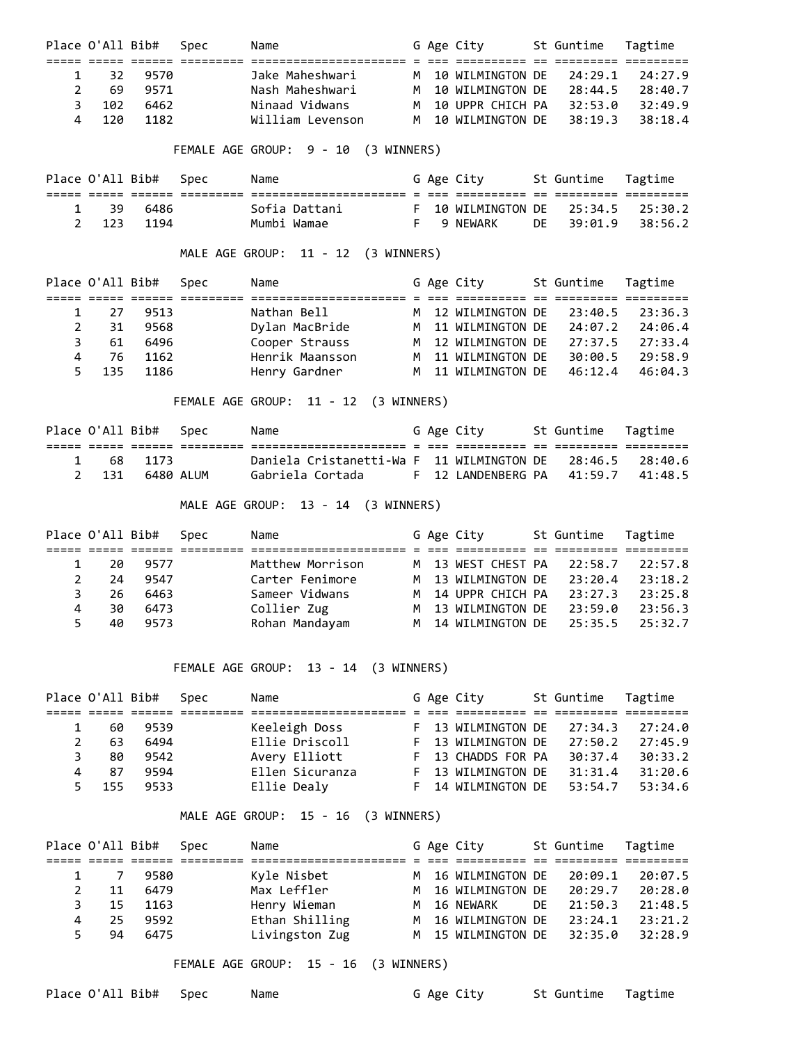|   | Place O'All Bib# |      | Spec | Name             |  | G Age City                         | St Guntime Tagtime |            |
|---|------------------|------|------|------------------|--|------------------------------------|--------------------|------------|
|   |                  |      |      |                  |  |                                    |                    |            |
|   | 32.              | 9570 |      | Jake Maheshwari  |  | M 10 WILMINGTON DF 24:29.1 24:27.9 |                    |            |
|   | 69               | 9571 |      | Nash Maheshwari  |  | M 10 WILMINGTON DE                 | 28:44.5            | 28:40.7    |
| ₹ | 102              | 6462 |      | Ninaad Vidwans   |  | M 10 UPPR CHICH PA                 | 32:53.0            | 32:49.9    |
|   | 4 120            | 1182 |      | William Levenson |  | M 10 WILMINGTON DE                 | 38:19.3            | $-38:18.4$ |

FEMALE AGE GROUP: 9 - 10 (3 WINNERS)

|       | Place O'All Bib# Spec | Name |               |  | G Age City                         | St Guntime - Tagtime |  |
|-------|-----------------------|------|---------------|--|------------------------------------|----------------------|--|
|       |                       |      |               |  |                                    |                      |  |
| 1 39  | - 6486                |      | Sofia Dattani |  | F 10 WILMINGTON DE 25:34.5 25:30.2 |                      |  |
| 2 123 | 1194                  |      | Mumbi Wamae   |  | 9 NFWARK                           | DF 39:01.9 38:56.2   |  |

MALE AGE GROUP: 11 - 12 (3 WINNERS)

|    | Place O'All Bib# |       | Spec | Name            |  | G Age City         | St Guntime Tagtime |         |
|----|------------------|-------|------|-----------------|--|--------------------|--------------------|---------|
|    |                  |       |      |                 |  |                    |                    |         |
|    | 27               | 9513  |      | Nathan Bell     |  | M 12 WILMINGTON DE | 23:40.5            | 23:36.3 |
|    | 31               | 9568  |      | Dylan MacBride  |  | M 11 WILMINGTON DE | 24:07.2            | 24:06.4 |
|    | 61               | 6496  |      | Cooper Strauss  |  | M 12 WILMINGTON DE | 27:37.5            | 27:33.4 |
| 4  | 76               | 1162  |      | Henrik Maansson |  | M 11 WILMINGTON DE | 30:00.5            | 29:58.9 |
| 5. | 135              | -1186 |      | Henry Gardner   |  | M 11 WILMINGTON DE | 46:12.4            | 46:04.3 |

FEMALE AGE GROUP: 11 - 12 (3 WINNERS)

|  | Place O'All Bib# Spec | Name                                                      |  | G Age City                         | St Guntime - Tagtime |  |
|--|-----------------------|-----------------------------------------------------------|--|------------------------------------|----------------------|--|
|  |                       |                                                           |  |                                    |                      |  |
|  | 1 68 1173             | Daniela Cristanetti-Wa F 11 WILMINGTON DE 28:46.5 28:40.6 |  |                                    |                      |  |
|  | 2 131 6480 AIUM       | Gabriela Cortada                                          |  | F 12 LANDENBERG PA 41:59.7 41:48.5 |                      |  |

MALE AGE GROUP: 13 - 14 (3 WINNERS)

|    |    | Place O'All Bib# | Spec | Name             |  | G Age City                 | St Guntime | Tagtime |
|----|----|------------------|------|------------------|--|----------------------------|------------|---------|
|    |    |                  |      |                  |  |                            |            |         |
|    | 20 | 9577             |      | Matthew Morrison |  | M 13 WEST CHEST PA         | 22:58.7    | 22:57.8 |
|    | 24 | 9547             |      | Carter Fenimore  |  | M 13 WILMINGTON DE         | 23:20.4    | 23:18.2 |
|    | 26 | 6463             |      | Sameer Vidwans   |  | M 14 UPPR CHICH PA         | 23:27.3    | 23:25.8 |
| 4  | 30 | 6473             |      | Collier Zug      |  | M 13 WILMINGTON DE         | 23:59.0    | 23:56.3 |
| 5. | 40 | 9573             |      | Rohan Mandayam   |  | M 14 WILMINGTON DE 25:35.5 |            | 25:32.7 |

FEMALE AGE GROUP: 13 - 14 (3 WINNERS)

|   | Place O'All Bib# |      | Spec | Name            |  | G Age City         | St Guntime | Tagtime |
|---|------------------|------|------|-----------------|--|--------------------|------------|---------|
|   |                  |      |      |                 |  |                    |            |         |
|   | 60               | 9539 |      | Keeleigh Doss   |  | F 13 WILMINGTON DE | 27:34.3    | 27:24.0 |
|   | 63               | 6494 |      | Ellie Driscoll  |  | F 13 WILMINGTON DE | 27:50.2    | 27:45.9 |
| 3 | 80               | 9542 |      | Avery Elliott   |  | F 13 CHADDS FOR PA | 30:37.4    | 30:33.2 |
|   | 87               | 9594 |      | Ellen Sicuranza |  | F 13 WILMINGTON DE | 31:31.4    | 31:20.6 |
|   | 155              | 9533 |      | Ellie Dealy     |  | F 14 WILMINGTON DE | 53:54.7    | 53:34.6 |

MALE AGE GROUP: 15 - 16 (3 WINNERS)

|              | Place O'All Bib# |      | Spec | Name           |  | G Age City                 |    | St Guntime | Tagtime |  |
|--------------|------------------|------|------|----------------|--|----------------------------|----|------------|---------|--|
|              |                  |      |      |                |  |                            |    |            |         |  |
| $\mathbf{1}$ |                  | 9580 |      | Kyle Nisbet    |  | M 16 WILMINGTON DE         |    | 20:09.1    | 20:07.5 |  |
|              | 11               | 6479 |      | Max Leffler    |  | M 16 WILMINGTON DE         |    | 20:29.7    | 20:28.0 |  |
|              | 15               | 1163 |      | Henry Wieman   |  | M 16 NEWARK                | DE | 21:50.3    | 21:48.5 |  |
| 4            | 25.              | 9592 |      | Ethan Shilling |  | M 16 WILMINGTON DE         |    | 23:24.1    | 23:21.2 |  |
|              | 94               | 6475 |      | Livingston Zug |  | M 15 WILMINGTON DE 32:35.0 |    |            | 32:28.9 |  |

FEMALE AGE GROUP: 15 - 16 (3 WINNERS)

Place O'All Bib# Spec Name G Age City St Guntime Tagtime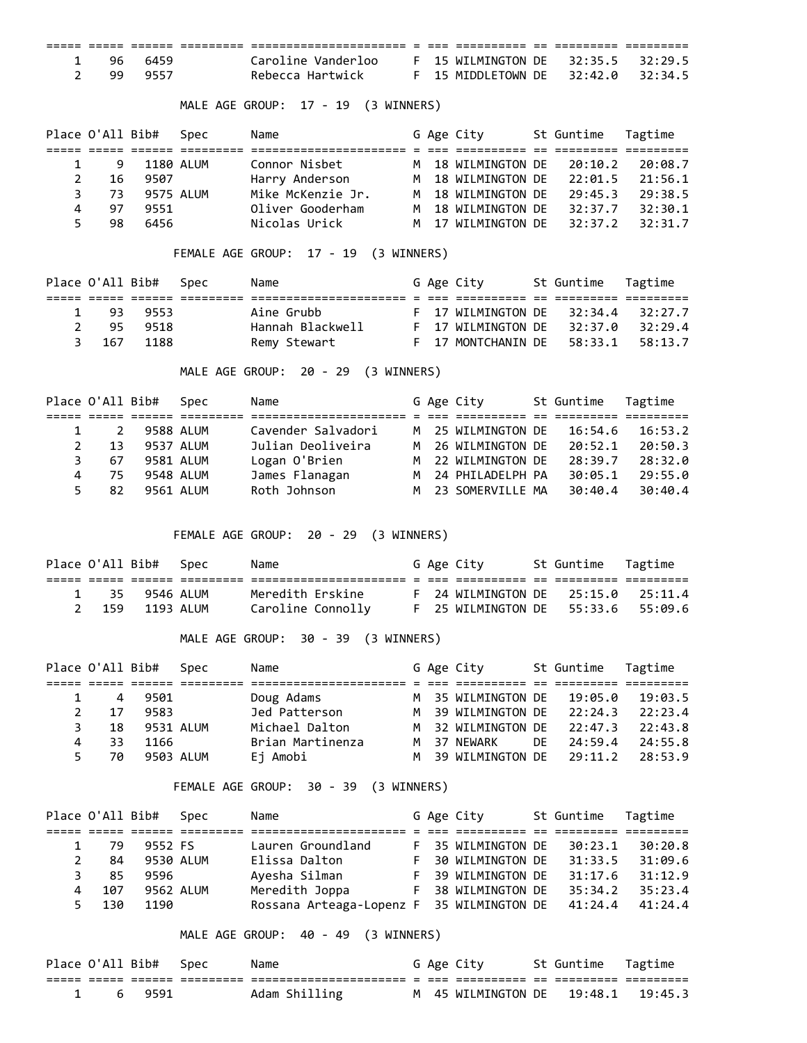| 1 96 | 6459 | Caroline Vanderloo |  | F 15 WILMINGTON DE 32:35.5 32:29.5 |  |  |
|------|------|--------------------|--|------------------------------------|--|--|
| 2 99 | 9557 | Rebecca Hartwick   |  | F 15 MIDDLETOWN DE 32:42.0 32:34.5 |  |  |

MALE AGE GROUP: 17 - 19 (3 WINNERS)

|    |     | Place O'All Bib# Spec | Name              |  | G Age City         | St Guntime | Tagtime |
|----|-----|-----------------------|-------------------|--|--------------------|------------|---------|
|    |     |                       |                   |  |                    |            |         |
|    | 9   | 1180 ALUM             | Connor Nisbet     |  | M 18 WILMINGTON DE | 20:10.2    | 20:08.7 |
|    | 16  | 9507                  | Harry Anderson    |  | M 18 WILMINGTON DE | 22:01.5    | 21:56.1 |
| 3  | 73. | 9575 ALUM             | Mike McKenzie Jr. |  | M 18 WILMINGTON DE | 29:45.3    | 29:38.5 |
| 4  | 97  | 9551                  | Oliver Gooderham  |  | M 18 WILMINGTON DE | 32:37.7    | 32:30.1 |
| 5. | 98  | 6456                  | Nicolas Urick     |  | M 17 WILMINGTON DE | 32:37.2    | 32:31.7 |

FEMALE AGE GROUP: 17 - 19 (3 WINNERS)

|       | Place O'All Bib# Spec | Name             |  | G Age City                   | St Guntime Tagtime |           |
|-------|-----------------------|------------------|--|------------------------------|--------------------|-----------|
|       |                       |                  |  |                              |                    |           |
| 93.   | . 9553                | Aine Grubb       |  | $F$ 17 WILMINGTON DE 32:34.4 |                    | 32:27.7   |
| 95    | 9518                  | Hannah Blackwell |  | F 17 WILMINGTON DE 32:37.0   |                    | - 32:29.4 |
| 3 167 | - 1188                | Remy Stewart     |  | $F$ 17 MONTCHANIN DE 58:33.1 |                    | 58:13.7   |

MALE AGE GROUP: 20 - 29 (3 WINNERS)

| Place O'All Bib# |     | Spec      | Name               |  | G Age City         | St Guntime | Tagtime |
|------------------|-----|-----------|--------------------|--|--------------------|------------|---------|
|                  |     |           |                    |  |                    |            |         |
|                  |     | 9588 ALUM | Cavender Salvadori |  | M 25 WILMINGTON DE | 16:54.6    | 16:53.2 |
|                  | 13  | 9537 ALUM | Julian Deoliveira  |  | M 26 WILMINGTON DE | 20:52.1    | 20:50.3 |
|                  | 67  | 9581 ALUM | Logan O'Brien      |  | M 22 WILMINGTON DE | 28:39.7    | 28:32.0 |
| 4                | 75. | 9548 ALUM | James Flanagan     |  | M 24 PHILADELPH PA | 30:05.1    | 29:55.0 |
| 5.               | 82  | 9561 ALUM | Roth Johnson       |  | M 23 SOMERVILLE MA | 30:40.4    | 30:40.4 |

FEMALE AGE GROUP: 20 - 29 (3 WINNERS)

|  | Place O'All Bib# Spec | Name              |  | G Age City                         | St Guntime Tagtime |  |
|--|-----------------------|-------------------|--|------------------------------------|--------------------|--|
|  |                       |                   |  |                                    |                    |  |
|  | 1 35 9546 ALUM        | Meredith Erskine  |  | F 24 WILMINGTON DE 25:15.0 25:11.4 |                    |  |
|  | 2 159 1193 ALUM       | Caroline Connolly |  | F 25 WILMINGTON DE 55:33.6 55:09.6 |                    |  |

MALE AGE GROUP: 30 - 39 (3 WINNERS)

|    | Place O'All Bib# |      | Spec      | Name             |  | G Age City                 |      | St Guntime | Tagtime |
|----|------------------|------|-----------|------------------|--|----------------------------|------|------------|---------|
|    |                  |      |           |                  |  |                            |      |            |         |
|    | 4                | 9501 |           | Doug Adams       |  | M 35 WILMINGTON DE         |      | 19:05.0    | 19:03.5 |
|    | 17               | 9583 |           | Jed Patterson    |  | M 39 WILMINGTON DE 22:24.3 |      |            | 22:23.4 |
|    | 18               |      | 9531 ALUM | Michael Dalton   |  | M 32 WILMINGTON DE 22:47.3 |      |            | 22:43.8 |
| 4  | 33.              | 1166 |           | Brian Martinenza |  | M 37 NEWARK                | DF - | 24:59.4    | 24:55.8 |
| 5. | 70               |      | 9503 ALUM | Ej Amobi         |  | M 39 WILMINGTON DE 29:11.2 |      |            | 28:53.9 |

FEMALE AGE GROUP: 30 - 39 (3 WINNERS)

|   | Place O'All Bib# |         | Spec      | Name                                      |   | G Age City         | St Guntime | Tagtime |
|---|------------------|---------|-----------|-------------------------------------------|---|--------------------|------------|---------|
|   |                  |         |           |                                           |   |                    |            |         |
|   | 79               | 9552 FS |           | Lauren Groundland                         |   | F 35 WILMINGTON DE | 30:23.1    | 30:20.8 |
|   | 84               |         | 9530 ALUM | Elissa Dalton                             | F | 30 WILMINGTON DE   | 31:33.5    | 31:09.6 |
|   | 85               | 9596    |           | Ayesha Silman                             |   | F 39 WILMINGTON DE | 31:17.6    | 31:12.9 |
| 4 | 107              |         | 9562 ALUM | Meredith Joppa                            | F | 38 WILMINGTON DE   | 35:34.2    | 35:23.4 |
|   | 130              | 1190    |           | Rossana Arteaga-Lopenz F 35 WILMINGTON DE |   |                    | 41:24.4    | 41:24.4 |

MALE AGE GROUP: 40 - 49 (3 WINNERS)

|  | Place O'All Bib# Spec | Name          |  | G Age City                         | St Guntime Tagtime |  |
|--|-----------------------|---------------|--|------------------------------------|--------------------|--|
|  |                       |               |  |                                    |                    |  |
|  | 69591                 | Adam Shilling |  | M 45 WILMINGTON DE 19:48.1 19:45.3 |                    |  |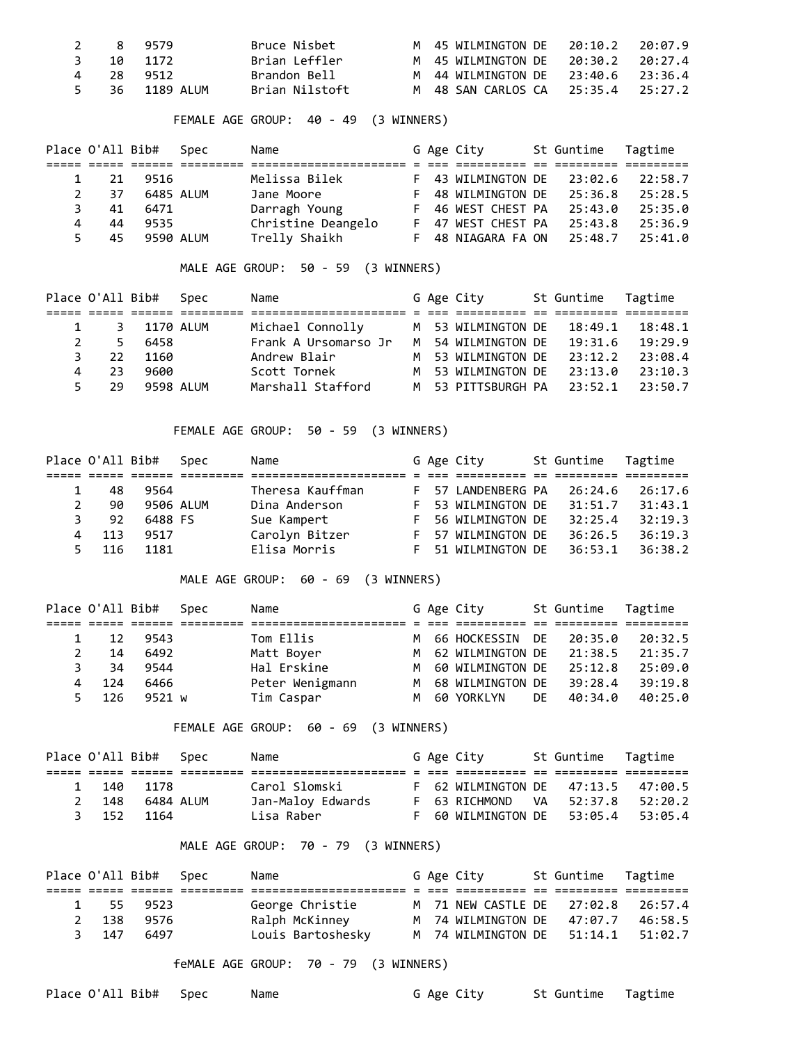| 2 8  | 9579           | Bruce Nisbet   |  | M 45 WILMINGTON DE                 | 20:10.2 | 20:07.9 |
|------|----------------|----------------|--|------------------------------------|---------|---------|
| - 10 | 1172           | Brian Leffler  |  | M 45 WILMINGTON DE 20:30.2 20:27.4 |         |         |
| 4 28 | 9512           | Brandon Bell   |  | M 44 WILMINGTON DE 23:40.6 23:36.4 |         |         |
|      | 5 36 1189 AIUM | Brian Nilstoft |  | M 48 SAN CARLOS CA 25:35.4         |         | 25:27.2 |

FEMALE AGE GROUP: 40 - 49 (3 WINNERS)

|    |    | Place O'All Bib# | Spec | Name               |    | G Age City         | St Guntime | Tagtime |
|----|----|------------------|------|--------------------|----|--------------------|------------|---------|
|    |    |                  |      |                    |    |                    |            |         |
|    | 21 | 9516             |      | Melissa Bilek      |    | F 43 WILMINGTON DE | 23:02.6    | 22:58.7 |
|    | 37 | 6485 ALUM        |      | Jane Moore         | F. | 48 WILMINGTON DE   | 25:36.8    | 25:28.5 |
|    | 41 | 6471             |      | Darragh Young      | F. | 46 WEST CHEST PA   | 25:43.0    | 25:35.0 |
| 4  | 44 | 9535             |      | Christine Deangelo |    | F 47 WEST CHEST PA | 25:43.8    | 25:36.9 |
| 5. | 45 | 9590 ALUM        |      | Trelly Shaikh      | F. | 48 NIAGARA FA ON   | 25:48.7    | 25:41.0 |

MALE AGE GROUP: 50 - 59 (3 WINNERS)

|   | Place O'All Bib# |           | Spec      | Name                 |  | G Age City                 | St Guntime | Tagtime |
|---|------------------|-----------|-----------|----------------------|--|----------------------------|------------|---------|
|   |                  |           |           |                      |  |                            |            |         |
|   | 3                | 1170 ALUM |           | Michael Connolly     |  | M 53 WILMINGTON DE         | 18:49.1    | 18:48.1 |
|   | .5               | 6458      |           | Frank A Ursomarso Jr |  | M 54 WILMINGTON DE 19:31.6 |            | 19:29.9 |
|   | 22               | 1160      |           | Andrew Blair         |  | M 53 WILMINGTON DE         | 23:12.2    | 23:08.4 |
| 4 | 23.              | 9600      |           | Scott Tornek         |  | M 53 WILMINGTON DE         | 23:13.0    | 23:10.3 |
|   | 29               |           | 9598 ALUM | Marshall Stafford    |  | M 53 PITTSBURGH PA 23:52.1 |            | 23:50.7 |

FEMALE AGE GROUP: 50 - 59 (3 WINNERS)

|    | Place O'All Bib# |         | Spec      | Name             |    | G Age City         | St Guntime | Tagtime |
|----|------------------|---------|-----------|------------------|----|--------------------|------------|---------|
|    |                  |         |           |                  |    |                    |            |         |
|    | 48               | 9564    |           | Theresa Kauffman |    | F 57 LANDENBERG PA | 26:24.6    | 26:17.6 |
|    | 90               |         | 9506 ALUM | Dina Anderson    | F. | 53 WILMINGTON DE   | 31:51.7    | 31:43.1 |
| з. | 92               | 6488 FS |           | Sue Kampert      | E. | 56 WILMINGTON DE   | 32:25.4    | 32:19.3 |
|    | 113              | 9517    |           | Carolyn Bitzer   | F. | 57 WILMINGTON DE   | 36:26.5    | 36:19.3 |
| 5. | 116              | 1181    |           | Elisa Morris     | F. | 51 WILMINGTON DE   | 36:53.1    | 36:38.2 |

MALE AGE GROUP: 60 - 69 (3 WINNERS)

|   | Place O'All Bib# |        | Spec | Name            |  | G Age City         |    | St Guntime | Tagtime |
|---|------------------|--------|------|-----------------|--|--------------------|----|------------|---------|
|   |                  |        |      |                 |  |                    |    |            |         |
|   | 12               | 9543   |      | Tom Ellis       |  | M 66 HOCKESSIN DE  |    | 20:35.0    | 20:32.5 |
|   | 14               | 6492   |      | Matt Boyer      |  | M 62 WILMINGTON DE |    | 21:38.5    | 21:35.7 |
|   | 34               | 9544   |      | Hal Erskine     |  | M 60 WILMINGTON DE |    | 25:12.8    | 25:09.0 |
| 4 | 124              | 6466   |      | Peter Wenigmann |  | M 68 WILMINGTON DE |    | 39:28.4    | 39:19.8 |
|   | 5 126            | 9521 w |      | Tim Caspar      |  | M 60 YORKLYN       | DE | 40:34.0    | 40:25.0 |

FEMALE AGE GROUP: 60 - 69 (3 WINNERS)

|       | Place O'All Bib# Spec | Name              |  | G Age City                         | St Guntime Tagtime |  |
|-------|-----------------------|-------------------|--|------------------------------------|--------------------|--|
|       |                       |                   |  |                                    |                    |  |
| 1 140 | 1178                  | Carol Slomski     |  | F 62 WILMINGTON DE 47:13.5 47:00.5 |                    |  |
| 2 148 | 6484 ALUM             | Jan-Maloy Edwards |  | F 63 RICHMOND VA 52:37.8 52:20.2   |                    |  |
| 3 152 | 1164                  | Lisa Raber        |  | F 60 WILMINGTON DE 53:05.4 53:05.4 |                    |  |

## MALE AGE GROUP: 70 - 79 (3 WINNERS)

|       | Place O'All Bib# Spec | Name              |  | G Age City                         | St Guntime Tagtime |         |
|-------|-----------------------|-------------------|--|------------------------------------|--------------------|---------|
|       |                       |                   |  |                                    |                    |         |
|       | 1 55 9523             | George Christie   |  | M 71 NEW CASTLE DE 27:02.8 26:57.4 |                    |         |
| 2 138 | 9576                  | Ralph McKinney    |  | M 74 WILMINGTON DE 47:07.7         |                    | 46:58.5 |
| 3 147 | 6497                  | Louis Bartoshesky |  | M 74 WILMINGTON DE 51:14.1 51:02.7 |                    |         |

feMALE AGE GROUP: 70 - 79 (3 WINNERS)

Place O'All Bib# Spec Name G Age City St Guntime Tagtime